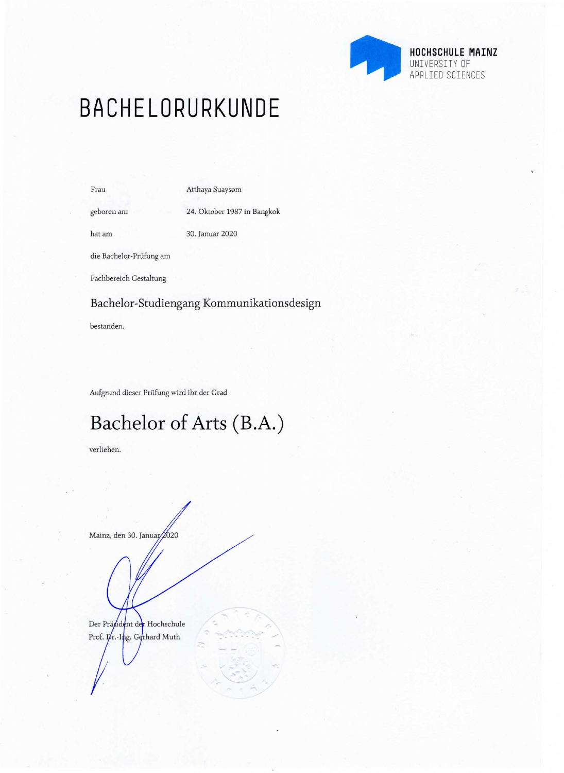

## **BACHELORURKUNDE**

Frau Atthaya Suaysom

geboren am 24. Oktober 1987 in Bangkok

hat am 30. Januar 2020

die Bachelor-Priifung am

Fachbereich Gestaltung

Bachelor-Studiengang Kommunikationsdesign

bestanden.

Aufgrund dieser Priifung wird ihr der Grad

### **Bachelor of Arts (B.A.)**

verliehen.

Mainz, den 30. Januar 2020

Der Präsident der Hochschule Prof. Dr.-Ing. Gerhard Muth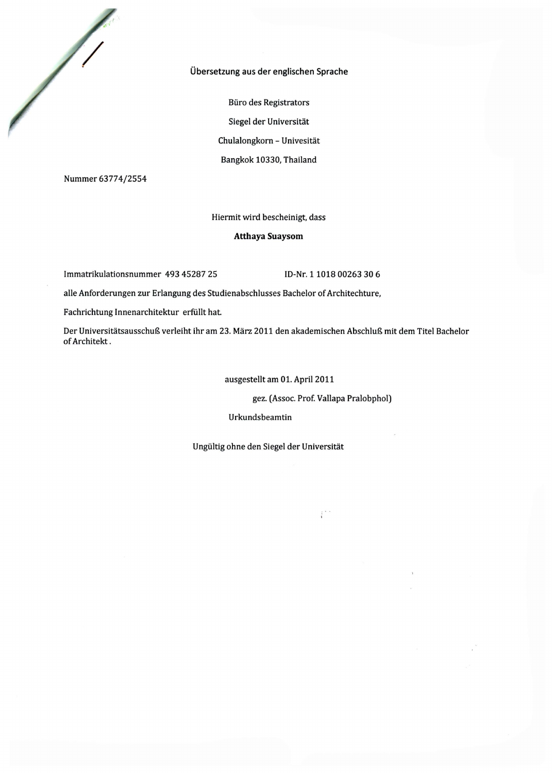

#### Übersetzung aus der englischen Sprache

Biiro des Registrators Siegel der Universitat Chulalongkom- Univesitat Bangkok 10330, Thailand

Nummer 6377 4/2554

#### Hiermit wird bescheinigt, dass

#### Atthaya Suaysom

Immatrikulationsnummer 493 45287 25 ID-Nr. 11018 00263 30 6

aile Anforderungen zur Erlangung des Studienabschlusses Bachelor of Architechture,

Fachrichtung Innenarchitektur erfiillt hat

Der Universitatsausschu8 verleiht ihr am 23. Marz 2011 den akademischen Abschlu8 mit dem Titel Bachelor of Architekt .

ausgestellt am 01. April 2011

gez. (Assoc. Prof. Vallapa Pralobphol)

 $\mathbb{R}^{\frac{1}{2} \times \frac{1}{2}}$ 

Urkundsbeamtin

Ungiiltig ohne den Siegel der Universitat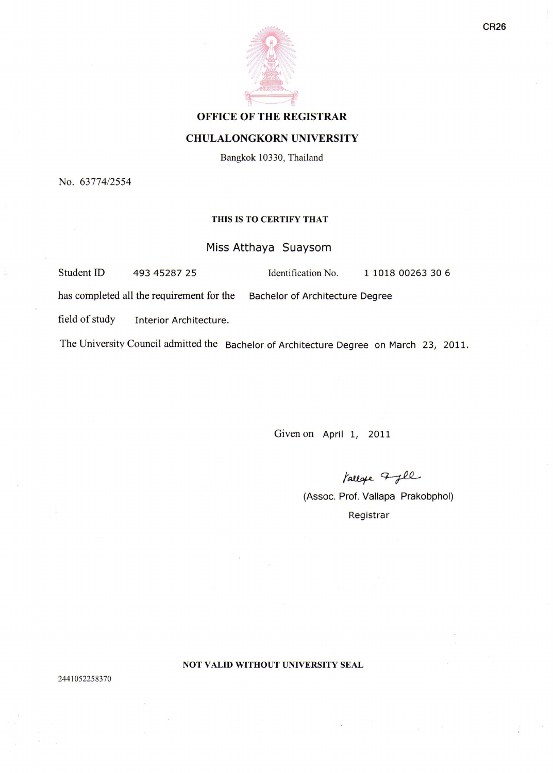

#### OFFICE OF THE REGISTRAR

#### CHULALONGKORN UNIVERSITY

Bangkok 10330, Thailand

No. 63774/2554

#### THIS IS TO CERTIFY THAT

#### Miss Atthaya Suaysom

Student ID 493 45287 25 Identification No. 1 1018 00263 30 6

has completed all the requirement for the Bachelor of Architecture Degree

field of study Interior Architecture.

The University Council admitted the Bachelor of Architecture Degree on March 23, 2011.

Given on April 1, 2011

tallage 7 fll

(Assoc. Prof. Vallapa Prakobphol) Registrar

NOT VALID WITHOUT UNIVERSITY SEAL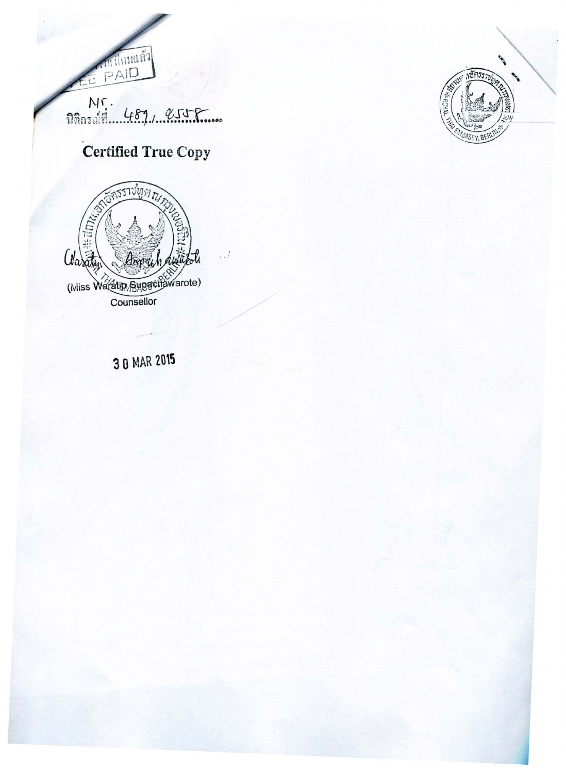

# 

## Certified True Copy



 $\frac{1}{2}$ 



3 0 MAR 2015